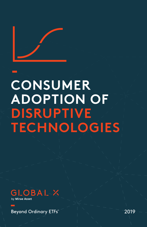

# **CONSUMER ADOPTION OF DISRUPTIVE TECHNOLOGIES**



Beyond Ordinary ETFs

2019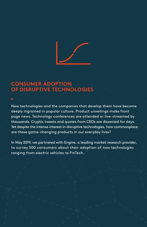

# **CONSUMER ADOPTION OF DISRUPTIVE TECHNOLOGIES**

New technologies and the companies that develop them have become deeply ingrained in popular culture. Product unveilings make front page news. Technology conferences are attended or live-streamed by thousands. Cryptic tweets and quotes from CEOs are dissected for days. Yet despite the intense interest in disruptive technologies, how commonplace are these game-changing products in our everyday lives?

In May 2019, we partnered with Engine, a leading market research provider, to survey 500 consumers about their adoption of new technologies ranging from electric vehicles to FinTech.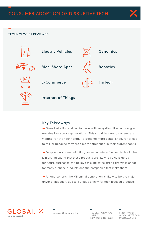

## TECHNOLOGIES REVIEWED



## Key Takeaways

 Overall adoption and comfort level with many disruptive technologies remains low across generations. This could be due to consumers waiting for the technology to become more established, for prices to fall, or because they are simply entrenched in their current habits.

**-** Despite low current adoption, consumer *interest* in new technologies is high, indicating that these products are likely to be considered for future purchases. We believe this indicates strong growth is ahead for many of these products and the companies that make them.

 Among cohorts, the Millennial generation is likely to be the major driver of adoption, due to a unique affinity for tech-focused products.



Beyond Ordinary ETFs"

600 LEXINGTON AVE 20TH FL NEW YORK, NY 10022

1 (888) 493-8631 GLOBALXETFS.COM @GLOBALXETFS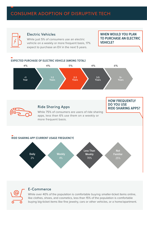# CONSUMER ADOPTION OF DISRUPTIVE TECH



## Electric Vehicles

While just 5% of consumers use an electric vehicle on a weekly or more frequent basis, 17% expect to purchase an EV in the next 5 years.

**WHEN WOULD YOU PLAN TO PURCHASE AN ELECTRIC VEHICLE?**





## E-Commerce

While over 40% of the population is comfortable buying smaller-ticket items online, like clothes, shoes, and cosmetics, less than 15% of the population is comfortable buying big-ticket items like fine jewelry, cars or other vehicles, or a home/apartment.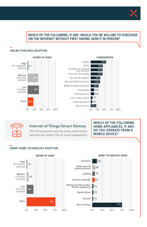

## **WHICH OF THE FOLLOWING, IF ANY, WOULD YOU BE WILLING TO PURCHASE ON THE INTERNET WITHOUT FIRST HAVING SEEN IT IN PERSON?**

### **ONLINE PURCHASE ADOPTION**





## Internet of Things/Smart Devices

77% of consumers are not using smart home devices like smart TVs or smart appliances.

**WHICH OF THE FOLLOWING HOME APPLIANCES, IF ANY, DO YOU OPERATE FROM A MOBILE DEVICE?**

## **SMART HOME TECHNOLOGY ADOPTION**

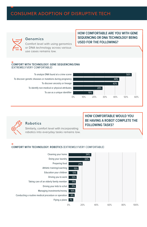# CONSUMER ADOPTION OF DISRUPTIVE TECH



## Genomics

Comfort level with using genomics or DNA technology across various use cases remains low.

#### **COMFORT WITH TECHNOLOGY: GENE SEQUENCING/DNA** (EXTREMELY/VERY COMFORTABLE)

To analyze DNA found at a crime scene To discover genetic diseases or mutations during pregnancy To discover ancestry or lineage To identify non-medical or physical attributes To use as a unique identifier



**HOW COMFORTABLE ARE YOU WITH GENE SEQUENCING OR DNA TECHNOLOGY BEING** 

**USED FOR THE FOLLOWING?**



## Robotics

Similarly, comfort level with incorporating robotics into everyday tasks remains low.

## **HOW COMFORTABLE WOULD YOU BE HAVING A ROBOT COMPLETE THE FOLLOWING TASKS?**

#### **COMFORT WITH TECHNOLOGY: ROBOTICS** (EXTREMELY/VERY COMFORTABLE)

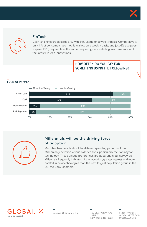



## FinTech

Cash isn't king; credit cards are, with 84% usage on a weekly basis. Comparatively, only 11% of consumers use mobile wallets on a weekly basis, and just 6% use peerto-peer (P2P) payments at the same frequency, demonstrating low penetration of the latest FinTech innovations.

## **HOW OFTEN DO YOU PAY FOR SOMETHING USING THE FOLLOWING?**

## **FORM OF PAYMENT**





## Millennials will be the driving force of adoption

Much has been made about the different spending patterns of the Millennial generation versus older cohorts, particularly their affinity for technology. These unique preferences are apparent in our survey, as Millennials frequently indicated higher adoption, greater interest, and more comfort in new technologies than the next largest population group in the US, the Baby Boomers.



Beyond Ordinary ETFs"

600 LEXINGTON AVE 20TH FL NEW YORK, NY 10022 1 (888) 493-8631 GLOBALXETFS.COM @GLOBALXETFS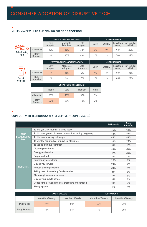## **MILLENNIALS WILL BE THE DRIVING FORCE OF ADOPTION**

|                                     |                                 | INITIAL USAGE (AMONG TOTAL)            |                      |                  |       | <b>CURRENT USAGE</b> |                     |                         |  |
|-------------------------------------|---------------------------------|----------------------------------------|----------------------|------------------|-------|----------------------|---------------------|-------------------------|--|
|                                     |                                 | Early<br>Adopters                      | Moderate<br>Adopters | Late<br>Adopters | Daily | Weekly               | Less than<br>weekly | Not familiar<br>with it |  |
| (((o-<br><b>Ride-Sharing</b><br>App | <b>Millennials</b>              | 10%                                    | 38%                  | 32%              | 3%    | 9%                   | 68%                 | 20%                     |  |
|                                     | Baby<br><b>Boomers</b>          | 8%                                     | 20%                  | 49%              | 1%    | 1%                   | 76%                 | 23%                     |  |
|                                     |                                 | <b>EXPECTED PURCHASE (AMONG TOTAL)</b> |                      |                  |       | <b>CURRENT USAGE</b> |                     |                         |  |
|                                     |                                 | Early<br><b>Adopters</b>               | Moderate<br>Adopters | Late<br>Adopters | Daily | Weekly               | Less than<br>weekly | Not familiar<br>with it |  |
|                                     | <b>Millennials</b>              | 7%                                     | 18%                  | 9%               | 4%    | 3%                   | 60%                 | 33%                     |  |
| Electric<br><b>Vehicles</b>         | Baby<br><b>Boomers</b>          | 2%                                     | 9%                   | 6%               | 1%    | 1%                   | 69%                 | 29%                     |  |
|                                     | <b>ONLINE PURCHASE BEHAVIOR</b> |                                        |                      |                  |       |                      |                     |                         |  |
|                                     |                                 | <b>None</b>                            | Low                  | Medium           | High  |                      |                     |                         |  |
|                                     | <b>Millennials</b>              | 15%                                    | 46%                  | 37%              | 3%    |                      |                     |                         |  |
|                                     | Baby<br><b>Boomers</b>          | 22%                                    | 36%                  | 40%              | 2%    |                      |                     |                         |  |

## **COMFORT WITH TECHNOLOGY** (EXTREMELY/VERY COMFORTABLE)

|                                                 |                                                            | <b>Millennials</b> | Baby<br><b>Boomers</b> |
|-------------------------------------------------|------------------------------------------------------------|--------------------|------------------------|
| <b>GENE</b><br><b>SEQUENCING/</b><br><b>DNA</b> | To analyze DNA found at a crime scene                      | 46%                | 64%                    |
|                                                 | To discover genetic diseases or mutations during pregnancy | 44%                | 43%                    |
|                                                 | To discover ancestry or lineage                            | 44%                | 42%                    |
|                                                 | To identify non-medical or physical attributes             | 33%                | 22%                    |
|                                                 | To use as a unique identifier                              | 18%                | 17%                    |
| <b>ROBOTICS</b>                                 | Cleaning your home                                         | 49%                | 28%                    |
|                                                 | Doing your laundry                                         | 47%                | 25%                    |
|                                                 | Preparing food                                             | 37%                | 12%                    |
|                                                 | Educating your children                                    | 25%                | 6%                     |
|                                                 | Driving you to work                                        | 24%                | 4%                     |
|                                                 | Athletic training/coaching                                 | 24%                | 9%                     |
|                                                 | Taking care of an elderly family member                    | 21%                | 5%                     |
|                                                 | Managing investments/money                                 | 19%                | 3%                     |
|                                                 | Driving your kids to school                                | 18%                | 5%                     |
|                                                 | Conducting a routine medical procedure or operation        | 13%                | 4%                     |
|                                                 | Flying a plane                                             | 11%                | 3%                     |

|                     |                  | <b>MOBILE WALLETS</b> | <b>P2P PAYMENTS</b> |                  |  |
|---------------------|------------------|-----------------------|---------------------|------------------|--|
|                     | More than Weekly | Less than Weekly      | More than Weekly    | Less than Weekly |  |
| <b>Millennials</b>  | 31%              | 69%                   | 27%                 | 73%              |  |
| <b>Baby Boomers</b> | 6%               | 95%                   | 1%                  | 99%              |  |